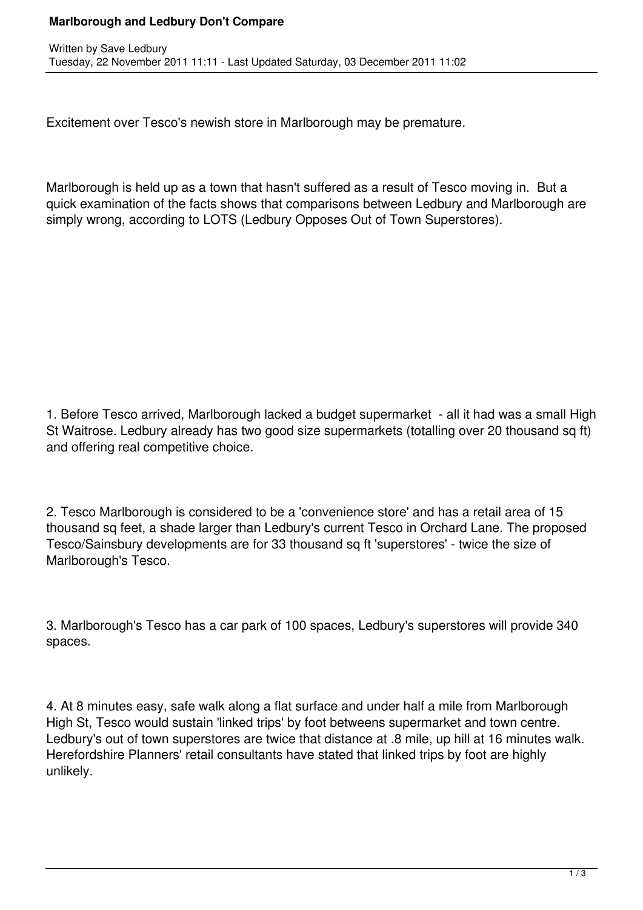## **Marlborough and Ledbury Don't Compare**

Excitement over Tesco's newish store in Marlborough may be premature.

Marlborough is held up as a town that hasn't suffered as a result of Tesco moving in. But a quick examination of the facts shows that comparisons between Ledbury and Marlborough are simply wrong, according to LOTS (Ledbury Opposes Out of Town Superstores).

1. Before Tesco arrived, Marlborough lacked a budget supermarket - all it had was a small High St Waitrose. Ledbury already has two good size supermarkets (totalling over 20 thousand sq ft) and offering real competitive choice.

2. Tesco Marlborough is considered to be a 'convenience store' and has a retail area of 15 thousand sq feet, a shade larger than Ledbury's current Tesco in Orchard Lane. The proposed Tesco/Sainsbury developments are for 33 thousand sq ft 'superstores' - twice the size of Marlborough's Tesco.

3. Marlborough's Tesco has a car park of 100 spaces, Ledbury's superstores will provide 340 spaces.

4. At 8 minutes easy, safe walk along a flat surface and under half a mile from Marlborough High St, Tesco would sustain 'linked trips' by foot betweens supermarket and town centre. Ledbury's out of town superstores are twice that distance at .8 mile, up hill at 16 minutes walk. Herefordshire Planners' retail consultants have stated that linked trips by foot are highly unlikely.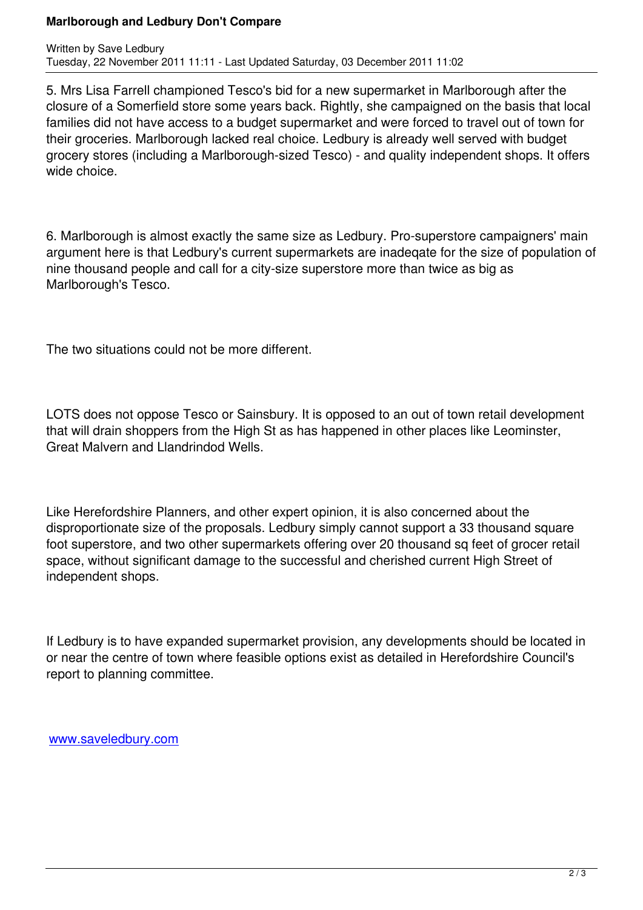5. Mrs Lisa Farrell championed Tesco's bid for a new supermarket in Marlborough after the closure of a Somerfield store some years back. Rightly, she campaigned on the basis that local families did not have access to a budget supermarket and were forced to travel out of town for their groceries. Marlborough lacked real choice. Ledbury is already well served with budget grocery stores (including a Marlborough-sized Tesco) - and quality independent shops. It offers wide choice.

6. Marlborough is almost exactly the same size as Ledbury. Pro-superstore campaigners' main argument here is that Ledbury's current supermarkets are inadeqate for the size of population of nine thousand people and call for a city-size superstore more than twice as big as Marlborough's Tesco.

The two situations could not be more different.

LOTS does not oppose Tesco or Sainsbury. It is opposed to an out of town retail development that will drain shoppers from the High St as has happened in other places like Leominster, Great Malvern and Llandrindod Wells.

Like Herefordshire Planners, and other expert opinion, it is also concerned about the disproportionate size of the proposals. Ledbury simply cannot support a 33 thousand square foot superstore, and two other supermarkets offering over 20 thousand sq feet of grocer retail space, without significant damage to the successful and cherished current High Street of independent shops.

If Ledbury is to have expanded supermarket provision, any developments should be located in or near the centre of town where feasible options exist as detailed in Herefordshire Council's report to planning committee.

www.saveledbury.com